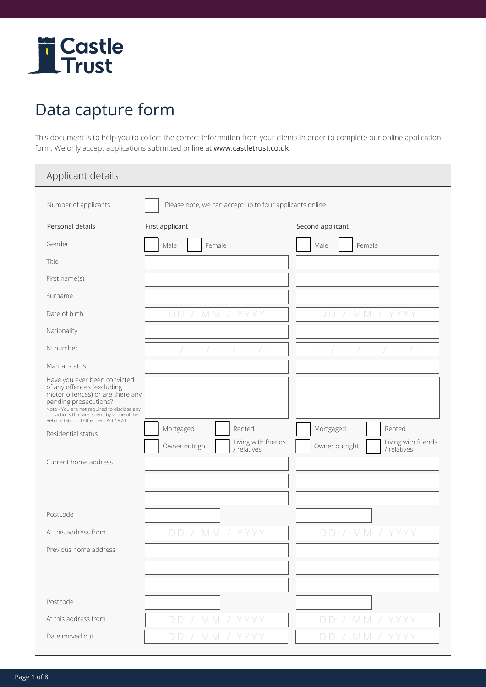

## Data capture form

This document is to help you to collect the correct information from your clients in order to complete our online application form. We only accept applications submitted online at www.castletrust.co.uk

| Applicant details                                                                                                                                                                                                                                               |                                                         |                                                      |
|-----------------------------------------------------------------------------------------------------------------------------------------------------------------------------------------------------------------------------------------------------------------|---------------------------------------------------------|------------------------------------------------------|
| Number of applicants                                                                                                                                                                                                                                            | Please note, we can accept up to four applicants online |                                                      |
| Personal details                                                                                                                                                                                                                                                | First applicant                                         | Second applicant                                     |
| Gender                                                                                                                                                                                                                                                          | Female<br>Male                                          | Female<br>Male                                       |
| Title                                                                                                                                                                                                                                                           |                                                         |                                                      |
| First name(s)                                                                                                                                                                                                                                                   |                                                         |                                                      |
| Surname                                                                                                                                                                                                                                                         |                                                         |                                                      |
| Date of birth                                                                                                                                                                                                                                                   | MM / YYYY<br>DD.                                        | MM/<br>DD.<br>$\overline{\phantom{a}}$               |
| Nationality                                                                                                                                                                                                                                                     |                                                         |                                                      |
| NI number                                                                                                                                                                                                                                                       | $-$ - $/$ - - $/$ - - $/$ - - $/$ -                     | $-$ - $/$ - - $/$ - - $/$ - - $/$ -                  |
| Marital status                                                                                                                                                                                                                                                  |                                                         |                                                      |
| Have you ever been convicted<br>of any offences (excluding<br>motor offences) or are there any<br>pending prosecutions?<br>Note - You are not required to disclose any<br>convictions that are 'spent' by virtue of the<br>Rehabilitation of Offenders Act 1974 |                                                         |                                                      |
| Residential status                                                                                                                                                                                                                                              | Mortgaged<br>Rented                                     | Mortgaged<br>Rented                                  |
|                                                                                                                                                                                                                                                                 | Living with friends<br>Owner outright<br>/ relatives    | Living with friends<br>Owner outright<br>/ relatives |
| Current home address                                                                                                                                                                                                                                            |                                                         |                                                      |
| Postcode                                                                                                                                                                                                                                                        |                                                         |                                                      |
| At this address from                                                                                                                                                                                                                                            | DD / MM / YYY                                           | DD / MM / YYY                                        |
| Previous home address                                                                                                                                                                                                                                           |                                                         |                                                      |
|                                                                                                                                                                                                                                                                 |                                                         |                                                      |
| Postcode                                                                                                                                                                                                                                                        |                                                         |                                                      |
| At this address from                                                                                                                                                                                                                                            | M M<br>D D<br>YYYY                                      | M M<br>D D<br>YYYY                                   |
| Date moved out                                                                                                                                                                                                                                                  | MM / YYYY<br>DD                                         | DD / MM / YYYY                                       |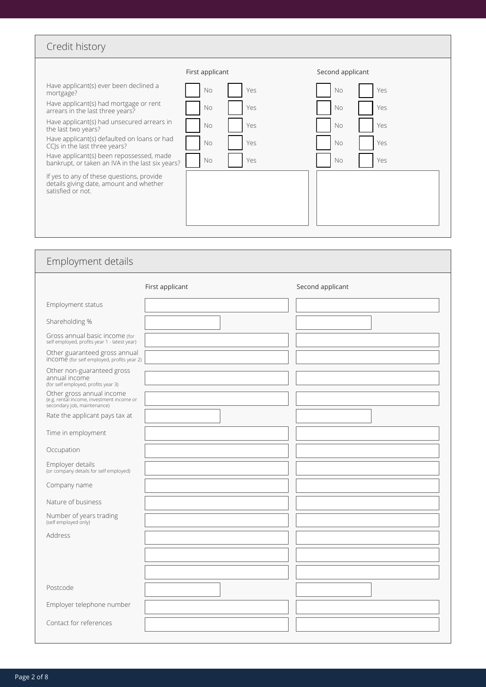| Credit history |  |
|----------------|--|
|----------------|--|

|                                                                                                           | First applicant | Second applicant |
|-----------------------------------------------------------------------------------------------------------|-----------------|------------------|
| Have applicant(s) ever been declined a                                                                    | Yes             | Yes              |
| mortgage?                                                                                                 | No              | <b>No</b>        |
| Have applicant(s) had mortgage or rent                                                                    | No              | Yes              |
| arrears in the last three years?                                                                          | Yes             | No               |
| Have applicant(s) had unsecured arrears in                                                                | Yes             | Yes              |
| the last two years?                                                                                       | No              | <b>No</b>        |
| Have applicant(s) defaulted on loans or had                                                               | No              | Yes              |
| CCIs in the last three years?                                                                             | Yes             | <b>No</b>        |
| Have applicant(s) been repossessed, made                                                                  | <b>No</b>       | <b>No</b>        |
| bankrupt, or taken an IVA in the last six years?                                                          | Yes             | Yes              |
| If yes to any of these questions, provide<br>details giving date, amount and whether<br>satisfied or not. |                 |                  |

| Employment details                                                                                    |                 |                  |
|-------------------------------------------------------------------------------------------------------|-----------------|------------------|
|                                                                                                       | First applicant | Second applicant |
| Employment status                                                                                     |                 |                  |
| Shareholding %                                                                                        |                 |                  |
| Gross annual basic income (for<br>self employed, profits year 1 - latest year)                        |                 |                  |
| Other guaranteed gross annual<br>income (for self employed, profits year 2)                           |                 |                  |
| Other non-guaranteed gross<br>annual income<br>(for self employed, profits year 3)                    |                 |                  |
| Other gross annual income<br>(e.g. rental income, investment income or<br>secondary job, maintenance) |                 |                  |
| Rate the applicant pays tax at                                                                        |                 |                  |
| Time in employment                                                                                    |                 |                  |
| Occupation                                                                                            |                 |                  |
| Employer details<br>(or company details for self employed)                                            |                 |                  |
| Company name                                                                                          |                 |                  |
| Nature of business                                                                                    |                 |                  |
| Number of years trading<br>(self employed only)                                                       |                 |                  |
| Address                                                                                               |                 |                  |
|                                                                                                       |                 |                  |
|                                                                                                       |                 |                  |
| Postcode                                                                                              |                 |                  |
| Employer telephone number                                                                             |                 |                  |
| Contact for references                                                                                |                 |                  |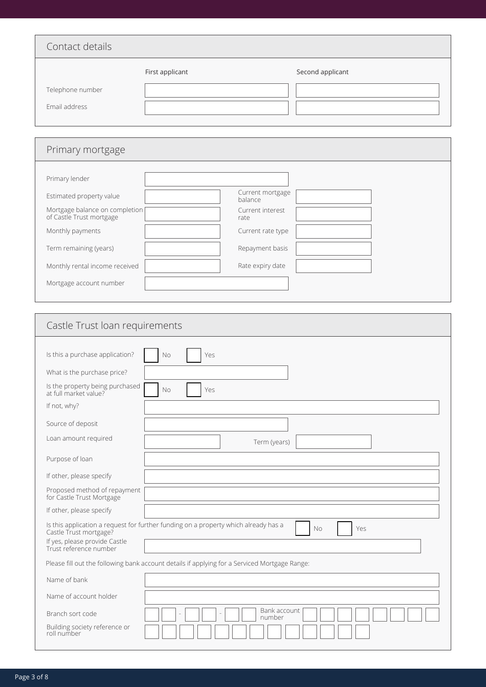| Contact details                   |                 |                  |
|-----------------------------------|-----------------|------------------|
| Telephone number<br>Email address | First applicant | Second applicant |

| Primary mortgage                                           |                             |
|------------------------------------------------------------|-----------------------------|
|                                                            |                             |
| Primary lender                                             |                             |
| Estimated property value                                   | Current mortgage<br>balance |
| Mortgage balance on completion<br>of Castle Trust mortgage | Current interest<br>rate    |
| Monthly payments                                           | Current rate type           |
| Term remaining (years)                                     | Repayment basis             |
| Monthly rental income received                             | Rate expiry date            |
| Mortgage account number                                    |                             |
|                                                            |                             |

| Castle Trust Ioan requirements                                                                                                                                                               |
|----------------------------------------------------------------------------------------------------------------------------------------------------------------------------------------------|
| Is this a purchase application?<br>No<br>Yes                                                                                                                                                 |
| What is the purchase price?                                                                                                                                                                  |
| Is the property being purchased<br>No<br>Yes<br>at full market value?                                                                                                                        |
| If not, why?                                                                                                                                                                                 |
| Source of deposit                                                                                                                                                                            |
| Loan amount required<br>Term (years)                                                                                                                                                         |
| Purpose of loan                                                                                                                                                                              |
| If other, please specify                                                                                                                                                                     |
| Proposed method of repayment<br>for Castle Trust Mortgage                                                                                                                                    |
| If other, please specify                                                                                                                                                                     |
| Is this application a request for further funding on a property which already has a<br>Yes<br><b>No</b><br>Castle Trust mortgage?<br>If yes, please provide Castle<br>Trust reference number |
| Please fill out the following bank account details if applying for a Serviced Mortgage Range:                                                                                                |
| Name of bank                                                                                                                                                                                 |
| Name of account holder                                                                                                                                                                       |
| Bank account<br>Branch sort code<br>number                                                                                                                                                   |
| Building society reference or<br>roll number                                                                                                                                                 |
|                                                                                                                                                                                              |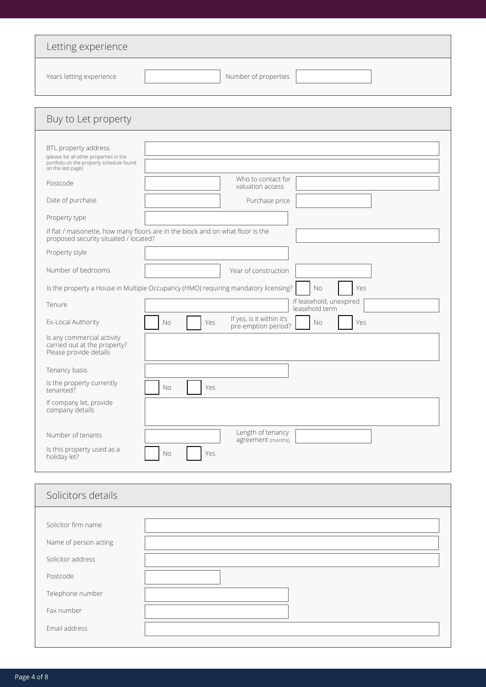| Letting experience                                                                                                                |                                                                                                 |
|-----------------------------------------------------------------------------------------------------------------------------------|-------------------------------------------------------------------------------------------------|
| Years letting experience                                                                                                          | Number of properties                                                                            |
| Buy to Let property                                                                                                               |                                                                                                 |
| BTL property address<br>(please list all other properties in the<br>portfolio on the property schedule found<br>on the last page) |                                                                                                 |
| Postcode                                                                                                                          | Who to contact for<br>valuation access                                                          |
| Date of purchase                                                                                                                  | Purchase price                                                                                  |
| Property type                                                                                                                     |                                                                                                 |
| proposed security situated / located?                                                                                             | If flat / maisonette, how many floors are in the block and on what floor is the                 |
| Property style                                                                                                                    |                                                                                                 |
| Number of bedrooms                                                                                                                | Year of construction                                                                            |
|                                                                                                                                   | Is the property a House in Multiple Occupancy (HMO) requiring mandatory licensing?<br>No<br>Yes |
| Tenure                                                                                                                            | If leasehold, unexpired<br>leasehold term                                                       |
| Ex-Local Authority                                                                                                                | If yes, is it within it's<br>Yes<br>No<br>No<br>Yes<br>pre-emption period?                      |
| Is any commercial activity<br>carried out at the property?<br>Please provide details                                              |                                                                                                 |
| Tenancy basis                                                                                                                     |                                                                                                 |
| Is the property currently<br>tenanted?                                                                                            | Yes<br>No                                                                                       |
| If company let, provide<br>company details                                                                                        |                                                                                                 |
| Number of tenants                                                                                                                 | Length of tenancy<br>agreement (months)                                                         |
| Is this property used as a<br>holiday let?                                                                                        | Yes<br>No                                                                                       |
| Solicitors details                                                                                                                |                                                                                                 |
|                                                                                                                                   |                                                                                                 |
| Solicitor firm name                                                                                                               |                                                                                                 |
| Name of person acting                                                                                                             |                                                                                                 |
| Solicitor address                                                                                                                 |                                                                                                 |
| Postcode                                                                                                                          |                                                                                                 |
| Telephone number                                                                                                                  |                                                                                                 |
| Fax number                                                                                                                        |                                                                                                 |
| Email address                                                                                                                     |                                                                                                 |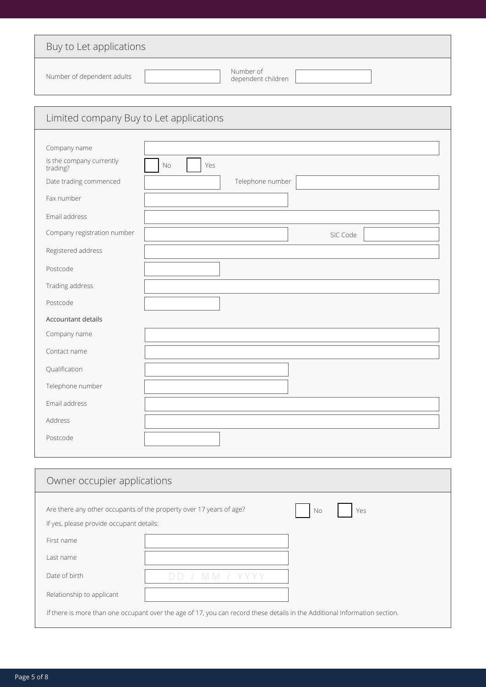| Buy to Let applications                  |                                                                                  |  |
|------------------------------------------|----------------------------------------------------------------------------------|--|
| Number of dependent adults               | Number of<br>dependent children                                                  |  |
| Limited company Buy to Let applications  |                                                                                  |  |
|                                          |                                                                                  |  |
| Company name                             |                                                                                  |  |
| Is the company currently<br>trading?     | No<br>Yes                                                                        |  |
| Date trading commenced                   | Telephone number                                                                 |  |
| Fax number                               |                                                                                  |  |
| Email address                            |                                                                                  |  |
| Company registration number              | SIC Code                                                                         |  |
| Registered address                       |                                                                                  |  |
| Postcode                                 |                                                                                  |  |
| Trading address                          |                                                                                  |  |
| Postcode                                 |                                                                                  |  |
| Accountant details                       |                                                                                  |  |
| Company name                             |                                                                                  |  |
| Contact name                             |                                                                                  |  |
| Qualification                            |                                                                                  |  |
| Telephone number                         |                                                                                  |  |
| Email address                            |                                                                                  |  |
| Address                                  |                                                                                  |  |
| Postcode                                 |                                                                                  |  |
|                                          |                                                                                  |  |
| Owner occupier applications              |                                                                                  |  |
|                                          |                                                                                  |  |
| If yes, please provide occupant details: | Are there any other occupants of the property over 17 years of age?<br>Yes<br>No |  |
| First name                               |                                                                                  |  |
| Last name                                |                                                                                  |  |
| Date of birth                            | DD / MM / YYYY                                                                   |  |

Relationship to applicant

If there is more than one occupant over the age of 17, you can record these details in the Additional Information section.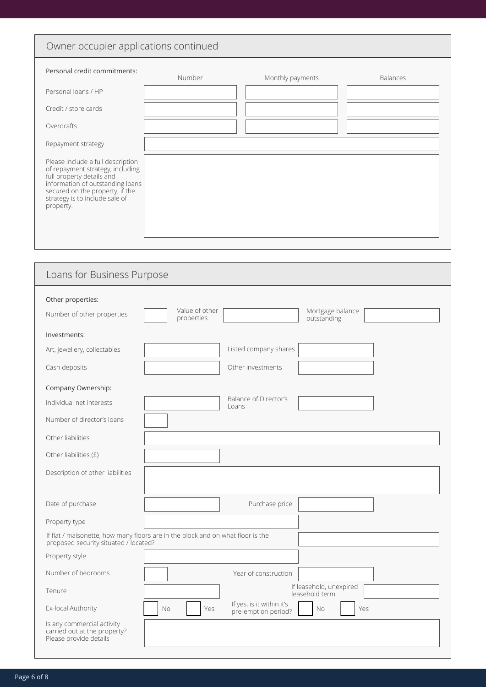## Owner occupier applications continued

| Personal credit commitments:                                                                                                                                                                                             | Number | Monthly payments | <b>Balances</b> |
|--------------------------------------------------------------------------------------------------------------------------------------------------------------------------------------------------------------------------|--------|------------------|-----------------|
| Personal loans / HP                                                                                                                                                                                                      |        |                  |                 |
| Credit / store cards                                                                                                                                                                                                     |        |                  |                 |
| Overdrafts                                                                                                                                                                                                               |        |                  |                 |
| Repayment strategy                                                                                                                                                                                                       |        |                  |                 |
| Please include a full description<br>of repayment strategy, including<br>full property details and<br>information of outstanding loans<br>secured on the property, if the<br>strategy is to include sale of<br>property. |        |                  |                 |

| Loans for Business Purpose                                                                                               |                                                                      |  |  |
|--------------------------------------------------------------------------------------------------------------------------|----------------------------------------------------------------------|--|--|
| Other properties:<br>Value of other<br>Number of other properties<br>properties                                          | Mortgage balance<br>outstanding                                      |  |  |
| Investments:                                                                                                             |                                                                      |  |  |
| Art, jewellery, collectables                                                                                             | Listed company shares                                                |  |  |
| Cash deposits                                                                                                            | Other investments                                                    |  |  |
| Company Ownership:                                                                                                       |                                                                      |  |  |
| Individual net interests                                                                                                 | Balance of Director's<br>Loans                                       |  |  |
| Number of director's loans                                                                                               |                                                                      |  |  |
| Other liabilities                                                                                                        |                                                                      |  |  |
| Other liabilities (£)                                                                                                    |                                                                      |  |  |
| Description of other liabilities                                                                                         |                                                                      |  |  |
|                                                                                                                          |                                                                      |  |  |
| Date of purchase                                                                                                         | Purchase price                                                       |  |  |
| Property type                                                                                                            |                                                                      |  |  |
| If flat / maisonette, how many floors are in the block and on what floor is the<br>proposed security situated / located? |                                                                      |  |  |
| Property style                                                                                                           |                                                                      |  |  |
| Number of bedrooms                                                                                                       | Year of construction                                                 |  |  |
| Tenure                                                                                                                   | If leasehold, unexpired<br>leasehold term                            |  |  |
| Ex-local Authority<br>No                                                                                                 | If yes, is it within it's<br>Yes<br>No<br>Yes<br>pre-emption period? |  |  |
| Is any commercial activity<br>carried out at the property?<br>Please provide details                                     |                                                                      |  |  |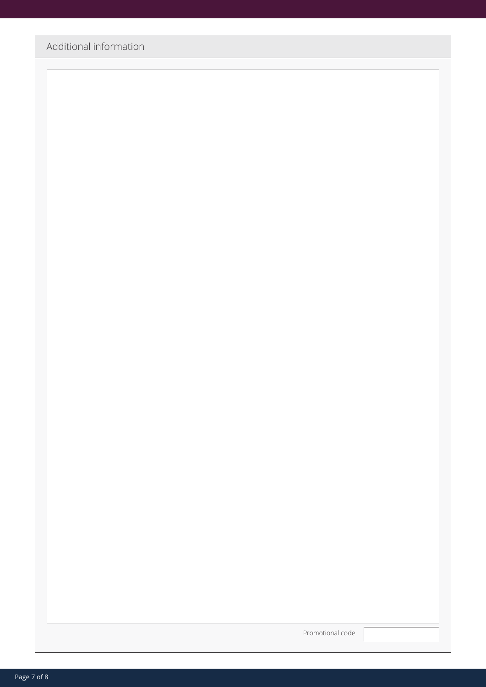| Promotional code |
|------------------|
|------------------|